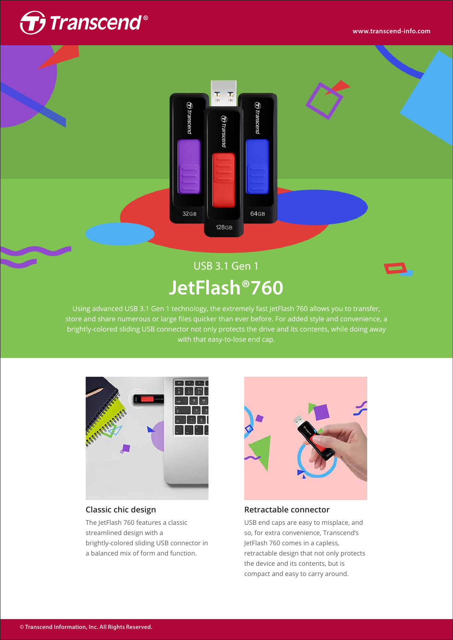

**COLLEGE** 



# USB 3.1 Gen 1 **JetFlash®760**



Using advanced USB 3.1 Gen 1 technology, the extremely fast JetFlash 760 allows you to transfer, store and share numerous or large files quicker than ever before. For added style and convenience, a brightly-colored sliding USB connector not only protects the drive and its contents, while doing away with that easy-to-lose end cap.



### **Classic chic design**

The JetFlash 760 features a classic streamlined design with a brightly-colored sliding USB connector in a balanced mix of form and function.



### **Retractable connector**

USB end caps are easy to misplace, and so, for extra convenience, Transcend's JetFlash 760 comes in a capless, retractable design that not only protects the device and its contents, but is compact and easy to carry around.